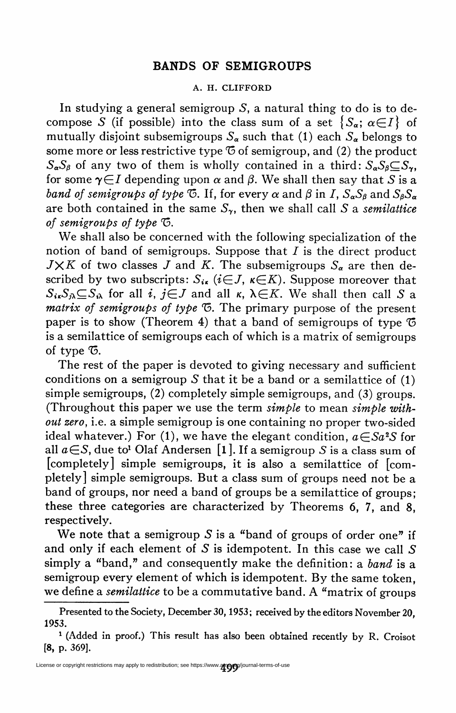## BANDS OF SEMIGROUPS

## A. H. CLIFFORD

In studying a general semigroup  $S$ , a natural thing to do is to decompose S (if possible) into the class sum of a set  $\{S_{\alpha}; \alpha \in I\}$  of mutually disjoint subsemigroups  $S_{\alpha}$  such that (1) each  $S_{\alpha}$  belongs to some more or less restrictive type  $\mathfrak G$  of semigroup, and (2) the product  $S_{\alpha}S_{\beta}$  of any two of them is wholly contained in a third:  $S_{\alpha}S_{\beta} \subset S_{\gamma}$ , for some  $\gamma \in I$  depending upon  $\alpha$  and  $\beta$ . We shall then say that S is a band of semigroups of type G. If, for every  $\alpha$  and  $\beta$  in I,  $S_{\alpha}S_{\beta}$  and  $S_{\beta}S_{\alpha}$ are both contained in the same  $S_{\gamma}$ , then we shall call S a semilattice of semigroups of type  $\mathfrak{S}$ .

We shall also be concerned with the following specialization of the notion of band of semigroups. Suppose that  $I$  is the direct product  $J\times K$  of two classes J and K. The subsemigroups  $S_{\alpha}$  are then described by two subscripts:  $S_{i\kappa}$  (i $\in$ J,  $\kappa \in K$ ). Suppose moreover that  $S_{i\kappa}S_{i\lambda} \subset S_{i\lambda}$  for all i,  $i \in J$  and all  $\kappa$ ,  $\lambda \in K$ . We shall then call S a  $matrix$  of semigroups of type  $\mathfrak{G}$ . The primary purpose of the present paper is to show (Theorem 4) that a band of semigroups of type  $\mathfrak G$ is a semilattice of semigroups each of which is a matrix of semigroups of type  $\mathcal{F}$ .

The rest of the paper is devoted to giving necessary and sufficient conditions on a semigroup S that it be a band or a semilattice of  $(1)$ simple semigroups, (2) completely simple semigroups, and (3) groups. (Throughout this paper we use the term simple to mean simple without zero, i.e. a simple semigroup is one containing no proper two-sided ideal whatever.) For (1), we have the elegant condition,  $a \in S_a^2S$  for all  $a \in S$ , due to<sup>1</sup> Olaf Andersen [1]. If a semigroup S is a class sum of [completely] simple semigroups, it is also a semilattice of [completely] simple semigroups. But a class sum of groups need not be a band of groups, nor need a band of groups be a semilattice of groups; these three categories are characterized by Theorems 6, 7, and 8, respectively.

We note that a semigroup  $S$  is a "band of groups of order one" if and only if each element of S is idempotent. In this case we call  $S$ simply a "band," and consequently make the definition: a band is a semigroup every element of which is idempotent. By the same token, we define a *semilattice* to be a commutative band. A "matrix of groups

Presented to the Society, December 30,1953; received by the editors November 20, 1953.

<sup>1 (</sup>Added in proof.) This result has also been obtained recently by R. Croisot [8, p. 369].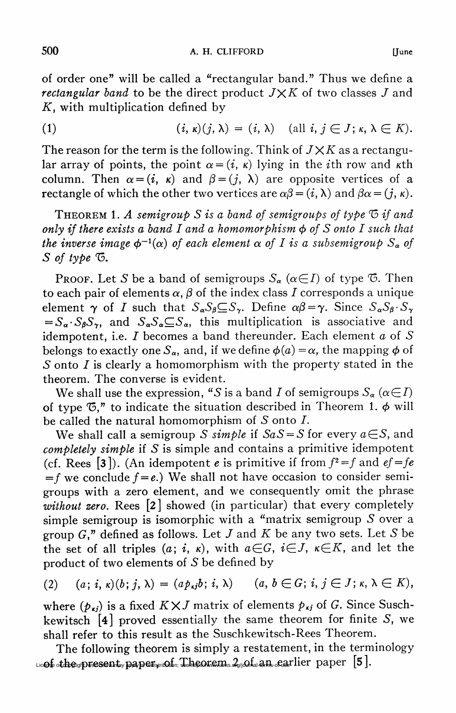of order one" will be called a "rectangular band." Thus we define a rectangular band to be the direct product  $J \times K$  of two classes  $J$  and  $K$ , with multiplication defined by

(1) 
$$
(i, \kappa)(j, \lambda) = (i, \lambda) \quad (\text{all } i, j \in J; \kappa, \lambda \in K).
$$

The reason for the term is the following. Think of  $J \times K$  as a rectangular array of points, the point  $\alpha = (i, \kappa)$  lying in the *i*th row and *k*th column. Then  $\alpha = (i, \kappa)$  and  $\beta = (j, \lambda)$  are opposite vertices of a rectangle of which the other two vertices are  $\alpha\beta = (i, \lambda)$  and  $\beta\alpha = (i, \kappa)$ .

**THEOREM 1. A semigroup S is a band of semigroups of type**  $\sigma$  **if and** only if there exists a band I and a homomorphism  $\phi$  of S onto I such that the inverse image  $\phi^{-1}(\alpha)$  of each element  $\alpha$  of I is a subsemigroup  $S_{\alpha}$  of  $S$  of type  $\mathcal{F}$ .

**Proof.** Let S be a band of semigroups  $S_{\alpha}$  ( $\alpha \in I$ ) of type  $\bar{\infty}$ . Then to each pair of elements  $\alpha$ ,  $\beta$  of the index class I corresponds a unique element  $\gamma$  of I such that  $S_{\alpha}S_{\beta} \subseteq S_{\gamma}$ . Define  $\alpha\beta = \gamma$ . Since  $S_{\alpha}S_{\beta} \cdot S_{\gamma}$  $=S_{\alpha} \cdot S_{\beta} S_{\gamma}$ , and  $S_{\alpha} S_{\alpha} \subseteq S_{\alpha}$ , this multiplication is associative and idempotent, i.e.  $I$  becomes a band thereunder. Each element  $a$  of  $S$ belongs to exactly one  $S_{\alpha}$ , and, if we define  $\phi(a) = \alpha$ , the mapping  $\phi$  of  $S$  onto  $I$  is clearly a homomorphism with the property stated in the theorem. The converse is evident.

We shall use the expression, "S is a band I of semigroups  $S_{\alpha}$  ( $\alpha \in I$ ) of type  $\mathfrak{G},$ " to indicate the situation described in Theorem 1.  $\phi$  will be called the natural homomorphism of  $S$  onto  $I$ .

We shall call a semigroup S simple if  $SaS = S$  for every  $a \in S$ , and completely simple if S is simple and contains a primitive idempotent (cf. Rees [3]). (An idempotent e is primitive if from  $f^2 = f$  and  $ef = fe$  $=f$  we conclude  $f = e$ .) We shall not have occasion to consider semigroups with a zero element, and we consequently omit the phrase without zero. Rees [2] showed (in particular) that every completely simple semigroup is isomorphic with a "matrix semigroup S over a group  $G,$ " defined as follows. Let  $J$  and  $K$  be any two sets. Let  $S$  be the set of all triples  $(a; i, \kappa)$ , with  $a \in G$ ,  $i \in J$ ,  $\kappa \in K$ , and let the product of two elements of  $S$  be defined by

$$
(2) \quad (a; i, \kappa)(b; j, \lambda) = (a p_{\kappa j} b; i, \lambda) \quad (a, b \in G; i, j \in J; \kappa, \lambda \in K),
$$

where  $(p_{kj})$  is a fixed  $K \times J$  matrix of elements  $p_{kj}$  of G. Since Suschkewitsch [4] proved essentially the same theorem for finite S, we shall refer to this result as the Suschkewitsch-Rees Theorem.

The following theorem is simply a restatement, in the terminology  $L$ ic $\alpha$ f othe gr $\mathbf{p}$ resent y paper, mot  $\alpha$ , Theorem  $2$ go fan an earlier paper  $\lfloor 5 \rfloor$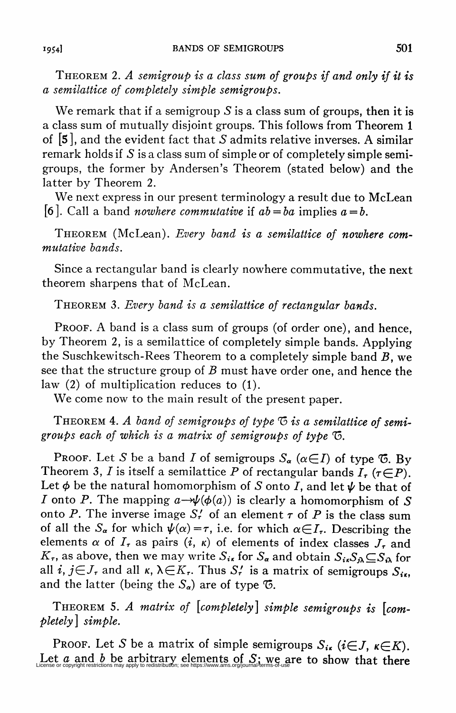THEOREM 2. A semigroup is a class sum of groups if and only if it is a semilattice of completely simple semigroups.

We remark that if a semigroup S is a class sum of groups, then it is a class sum of mutually disjoint groups. This follows from Theorem 1 of  $[5]$ , and the evident fact that S admits relative inverses. A similar remark holds if  $S$  is a class sum of simple or of completely simple semigroups, the former by Andersen's Theorem (stated below) and the latter by Theorem 2.

We next express in our present terminology a result due to McLean [6]. Call a band *nowhere commutative* if  $ab = ba$  implies  $a = b$ .

Theorem (McLean). Every band is a semilattice of nowhere commutative bands.

Since a rectangular band is clearly nowhere commutative, the next theorem sharpens that of McLean.

THEOREM 3. Every band is a semilattice of rectangular bands.

Proof. A band is a class sum of groups (of order one), and hence, by Theorem 2, is a semilattice of completely simple bands. Applying the Suschkewitsch-Rees Theorem to a completely simple band  $B$ , we see that the structure group of  $B$  must have order one, and hence the law (2) of multiplication reduces to (1).

We come now to the main result of the present paper.

THEOREM 4. A band of semigroups of type  $\mathfrak G$  is a semilattice of semigroups each of which is a matrix of semigroups of type  $\sigma$ .

Proof. Let S be a band I of semigroups  $S_{\alpha}$  ( $\alpha \in I$ ) of type  $\bar{\mathfrak{G}}$ . By Theorem 3, I is itself a semilattice P of rectangular bands  $I_r$  ( $\tau \in P$ ). Let  $\phi$  be the natural homomorphism of S onto I, and let  $\psi$  be that of *I* onto *P*. The mapping  $a \rightarrow \psi(\phi(a))$  is clearly a homomorphism of S onto P. The inverse image  $S'_r$  of an element  $\tau$  of P is the class sum of all the  $S_{\alpha}$  for which  $\psi(\alpha) = \tau$ , i.e. for which  $\alpha \in I_{\tau}$ . Describing the elements  $\alpha$  of  $I_{\tau}$  as pairs  $(i, \kappa)$  of elements of index classes  $J_{\tau}$  and  $K_{\tau}$ , as above, then we may write  $S_{i\kappa}$  for  $S_{\alpha}$  and obtain  $S_{i\kappa}S_{\alpha}\subseteq S_{\alpha}$  for all i,  $j \in J_{\tau}$  and all  $\kappa$ ,  $\lambda \in K_{\tau}$ . Thus  $S_{\tau}'$  is a matrix of semigroups  $S_{i\tau}$ . and the latter (being the  $S_{\alpha}$ ) are of type  $\sigma$ .

Theorem 5. A matrix of [completely] simple semigroups is [completely] simple.

PROOF. Let S be a matrix of simple semigroups  $S_{i\kappa}$  ( $i \in J$ ,  $\kappa \in K$ ). Let a and b be arbitrary elements of S; we are to show that there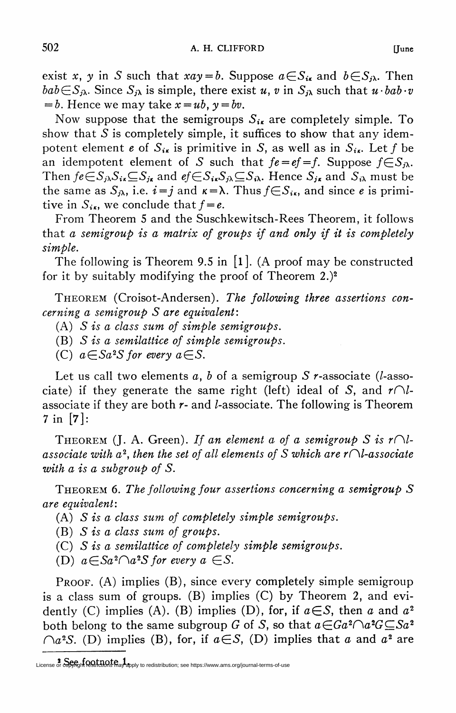exist x, y in S such that  $xay = b$ . Suppose  $a \in S_{ik}$  and  $b \in S_{ik}$ . Then  $bab\in S_{j\lambda}$ . Since  $S_{j\lambda}$  is simple, there exist u, v in  $S_{j\lambda}$  such that  $u \cdot bab \cdot v$  $= b$ . Hence we may take  $x = ub$ ,  $y = bv$ .

Now suppose that the semigroups  $S_{ik}$  are completely simple. To show that  $S$  is completely simple, it suffices to show that any idempotent element e of  $S_{i\kappa}$  is primitive in S, as well as in  $S_{i\kappa}$ . Let f be an idempotent element of S such that  $fe = ef = f$ . Suppose  $f \in S_{i\lambda}$ . Then  $fe\in S_{j\lambda}S_{i\kappa}\subseteq S_{j\kappa}$  and  $ef\in S_{i\kappa}S_{j\lambda}\subseteq S_{i\lambda}$ . Hence  $S_{j\kappa}$  and  $S_{i\lambda}$  must be the same as  $S_{i\lambda}$ , i.e.  $i=j$  and  $\kappa=\lambda$ . Thus  $f\in S_{i\kappa}$ , and since e is primitive in  $S_{i\kappa}$ , we conclude that  $f = e$ .

From Theorem 5 and the Suschkewitsch-Rees Theorem, it follows that a semigroup is a matrix of groups if and only if it is completely simple.

The following is Theorem 9.5 in  $\lceil 1 \rceil$ . (A proof may be constructed for it by suitably modifying the proof of Theorem 2.)2

Theorem (Croisot-Andersen). The following three assertions concerning a semigroup S are equivalent:

- (A)  $S$  is a class sum of simple semigroups.
- $(B)$  S is a semilattice of simple semigroups.
- (C)  $a \in Sa^2S$  for every  $a \in S$ .

Let us call two elements a, b of a semigroup S  $r$ -associate (l-associate) if they generate the same right (left) ideal of S, and  $r\Omega$ associate if they are both  $r$ - and  $l$ -associate. The following is Theorem 7 in [7]:

THEOREM (J. A. Green). If an element a of a semigroup S is  $r\cap l$ associate with  $a^2$ , then the set of all elements of S which are  $r \cap l$ -associate with a is a subgroup of S.

THEOREM 6. The following four assertions concerning a semigroup  $S$ are equivalent:

- (A) S is a class sum of completely simple semigroups.
- (B)  $S$  is a class sum of groups.
- (C) S is a semilattice of completely simple semigroups.
- (D)  $a \in S$  $a^2 \cap a^2S$  for every  $a \in S$ .

PROOF.  $(A)$  implies  $(B)$ , since every completely simple semigroup is a class sum of groups. (B) implies (C) by Theorem 2, and evidently (C) implies (A). (B) implies (D), for, if  $a \in S$ , then a and  $a^2$ both belong to the same subgroup G of S, so that  $a \in Ga^2 \cap a^2G \subseteq Sa^2$ .  $\bigcap a^2S$ . (D) implies (B), for, if  $a \in S$ , (D) implies that a and  $a^2$  are

**<sup>2</sup>** See footnote 1.<br>License or copyright restrictions may apply to redistribution; see https://www.ams.org/journal-terms-of-use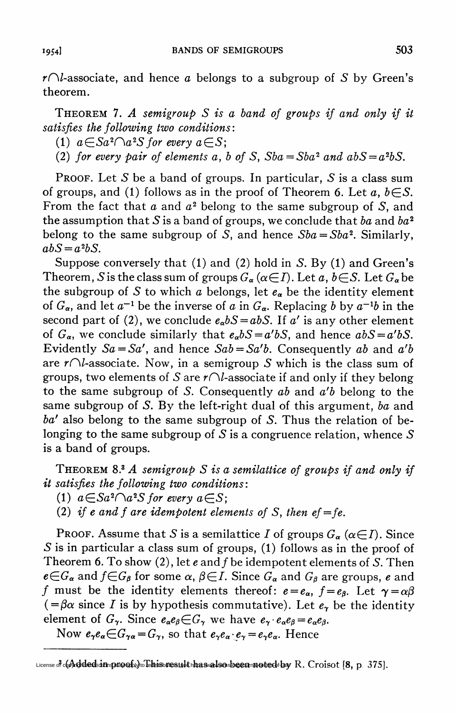$r\cap l$ -associate, and hence a belongs to a subgroup of S by Green's theorem.

THEOREM 7. A semigroup  $S$  is a band of groups if and only if it satisfies the following two conditions:

(1)  $a \in Sa^2 \cap a^2S$  for every  $a \in S$ ;

(2) for every pair of elements a, b of S,  $Sba = Sba^2$  and  $abS = a^2bS$ .

**PROOF.** Let S be a band of groups. In particular, S is a class sum of groups, and (1) follows as in the proof of Theorem 6. Let  $a, b \in S$ . From the fact that  $a$  and  $a^2$  belong to the same subgroup of S, and the assumption that S is a band of groups, we conclude that ba and  $ba^2$ belong to the same subgroup of S, and hence  $Sba = Sba^2$ . Similarly,  $abS = a<sup>2</sup>bS$ .

Suppose conversely that (1) and (2) hold in S. By (1) and Green's Theorem, S is the class sum of groups  $G_{\alpha} (\alpha \in I)$ . Let a,  $b \in S$ . Let  $G_{\alpha}$  be the subgroup of S to which a belongs, let  $e_{\alpha}$  be the identity element of  $G_{\alpha}$ , and let  $a^{-1}$  be the inverse of a in  $G_{\alpha}$ . Replacing b by  $a^{-1}b$  in the second part of (2), we conclude  $e_a bS = abS$ . If a' is any other element of  $G_{\alpha}$ , we conclude similarly that  $e_{\alpha}bS = a'bS$ , and hence  $abS = a'bS$ . Evidently  $Sa = Sa'$ , and hence  $Sab = Sa'b$ . Consequently ab and a'b are  $r\cap l$ -associate. Now, in a semigroup S which is the class sum of groups, two elements of S are  $r\Omega$ -associate if and only if they belong to the same subgroup of S. Consequently  $ab$  and  $a'b$  belong to the same subgroup of S. By the left-right dual of this argument, ba and  $ba'$  also belong to the same subgroup of S. Thus the relation of belonging to the same subgroup of  $S$  is a congruence relation, whence  $S$ is a band of groups.

THEOREM 8.<sup>3</sup> A semigroup S is a semilattice of groups if and only if it satisfies the following two conditions:

- (1)  $a \in S a^2 \cap a^2 S$  for every  $a \in S$ ;
- (2) if e and f are idempotent elements of S, then  $ef=fe$ .

PROOF. Assume that S is a semilattice I of groups  $G_{\alpha} (\alpha \in I)$ . Since  $S$  is in particular a class sum of groups, (1) follows as in the proof of Theorem 6. To show (2), let  $e$  and  $f$  be idempotent elements of S. Then  $e \in G_{\alpha}$  and  $f \in G_{\beta}$  for some  $\alpha$ ,  $\beta \in I$ . Since  $G_{\alpha}$  and  $G_{\beta}$  are groups, e and f must be the identity elements thereof:  $e = e_{\alpha}$ ,  $f = e_{\beta}$ . Let  $\gamma = \alpha\beta$  $(=\beta\alpha \text{ since } I \text{ is by hypothesis commutative}).$  Let  $e_{\gamma}$  be the identity element of  $G_\gamma$ . Since  $e_\alpha e_\beta \in G_\gamma$  we have  $e_\gamma \cdot e_\alpha e_\beta = e_\alpha e_\beta$ .

Now  $e_{\gamma}e_{\alpha} \in G_{\gamma\alpha} = G_{\gamma}$ , so that  $e_{\gamma}e_{\alpha} \cdot e_{\gamma} = e_{\gamma}e_{\alpha}$ . Hence

 $_{\rm License}$  , Added in proof.) This result has also been noted by R. Croisot [8, p 375].